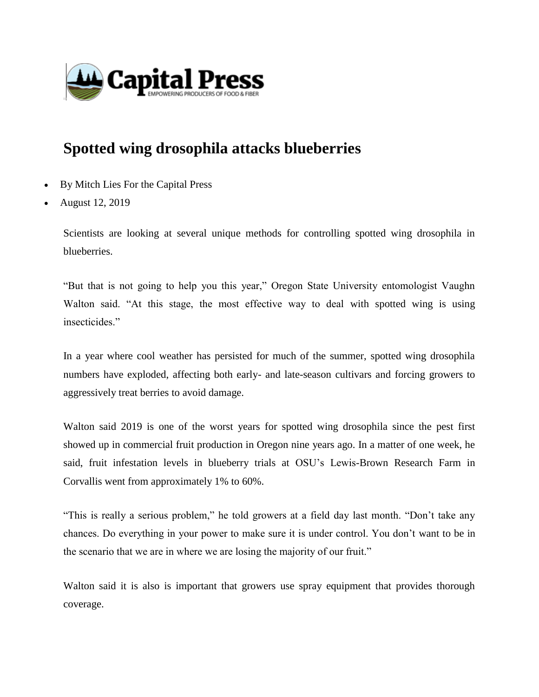

## **Spotted wing drosophila attacks blueberries**

- By Mitch Lies For the Capital Press
- August 12, 2019

Scientists are looking at several unique methods for controlling spotted wing drosophila in blueberries.

"But that is not going to help you this year," Oregon State University entomologist Vaughn Walton said. "At this stage, the most effective way to deal with spotted wing is using insecticides."

In a year where cool weather has persisted for much of the summer, spotted wing drosophila numbers have exploded, affecting both early- and late-season cultivars and forcing growers to aggressively treat berries to avoid damage.

Walton said 2019 is one of the worst years for spotted wing drosophila since the pest first showed up in commercial fruit production in Oregon nine years ago. In a matter of one week, he said, fruit infestation levels in blueberry trials at OSU's Lewis-Brown Research Farm in Corvallis went from approximately 1% to 60%.

"This is really a serious problem," he told growers at a field day last month. "Don't take any chances. Do everything in your power to make sure it is under control. You don't want to be in the scenario that we are in where we are losing the majority of our fruit."

Walton said it is also is important that growers use spray equipment that provides thorough coverage.